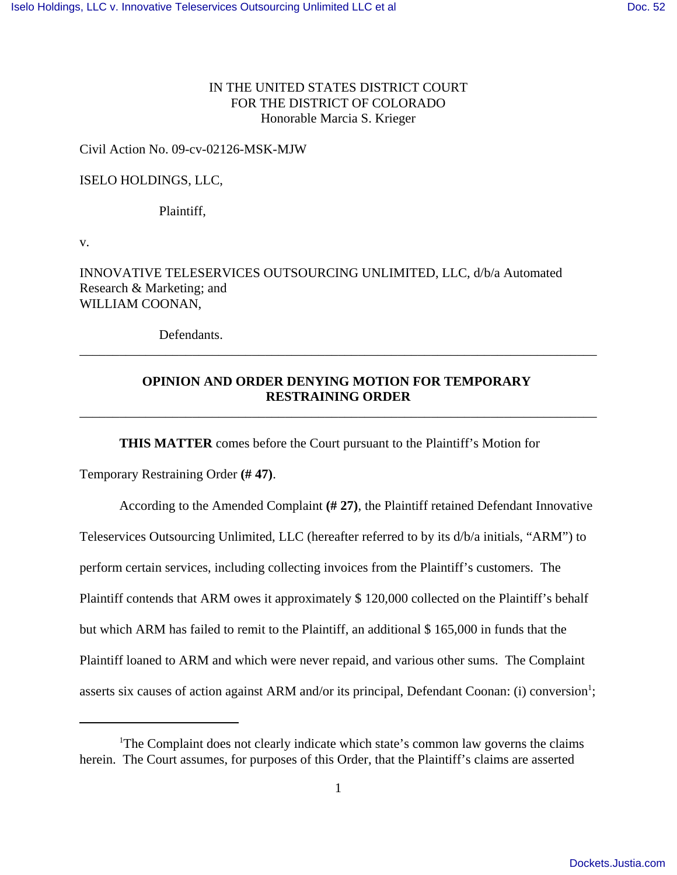## IN THE UNITED STATES DISTRICT COURT FOR THE DISTRICT OF COLORADO Honorable Marcia S. Krieger

## Civil Action No. 09-cv-02126-MSK-MJW

## ISELO HOLDINGS, LLC,

Plaintiff,

v.

INNOVATIVE TELESERVICES OUTSOURCING UNLIMITED, LLC, d/b/a Automated Research & Marketing; and WILLIAM COONAN,

Defendants.

## **OPINION AND ORDER DENYING MOTION FOR TEMPORARY RESTRAINING ORDER**

\_\_\_\_\_\_\_\_\_\_\_\_\_\_\_\_\_\_\_\_\_\_\_\_\_\_\_\_\_\_\_\_\_\_\_\_\_\_\_\_\_\_\_\_\_\_\_\_\_\_\_\_\_\_\_\_\_\_\_\_\_\_\_\_\_\_\_\_\_\_\_\_\_\_\_\_\_\_

\_\_\_\_\_\_\_\_\_\_\_\_\_\_\_\_\_\_\_\_\_\_\_\_\_\_\_\_\_\_\_\_\_\_\_\_\_\_\_\_\_\_\_\_\_\_\_\_\_\_\_\_\_\_\_\_\_\_\_\_\_\_\_\_\_\_\_\_\_\_\_\_\_\_\_\_\_\_

**THIS MATTER** comes before the Court pursuant to the Plaintiff's Motion for

Temporary Restraining Order **(# 47)**.

According to the Amended Complaint **(# 27)**, the Plaintiff retained Defendant Innovative Teleservices Outsourcing Unlimited, LLC (hereafter referred to by its d/b/a initials, "ARM") to perform certain services, including collecting invoices from the Plaintiff's customers. The Plaintiff contends that ARM owes it approximately \$ 120,000 collected on the Plaintiff's behalf but which ARM has failed to remit to the Plaintiff, an additional \$ 165,000 in funds that the Plaintiff loaned to ARM and which were never repaid, and various other sums. The Complaint asserts six causes of action against ARM and/or its principal, Defendant Coonan: (i) conversion<sup>1</sup>;

<sup>&</sup>lt;sup>1</sup>The Complaint does not clearly indicate which state's common law governs the claims herein. The Court assumes, for purposes of this Order, that the Plaintiff's claims are asserted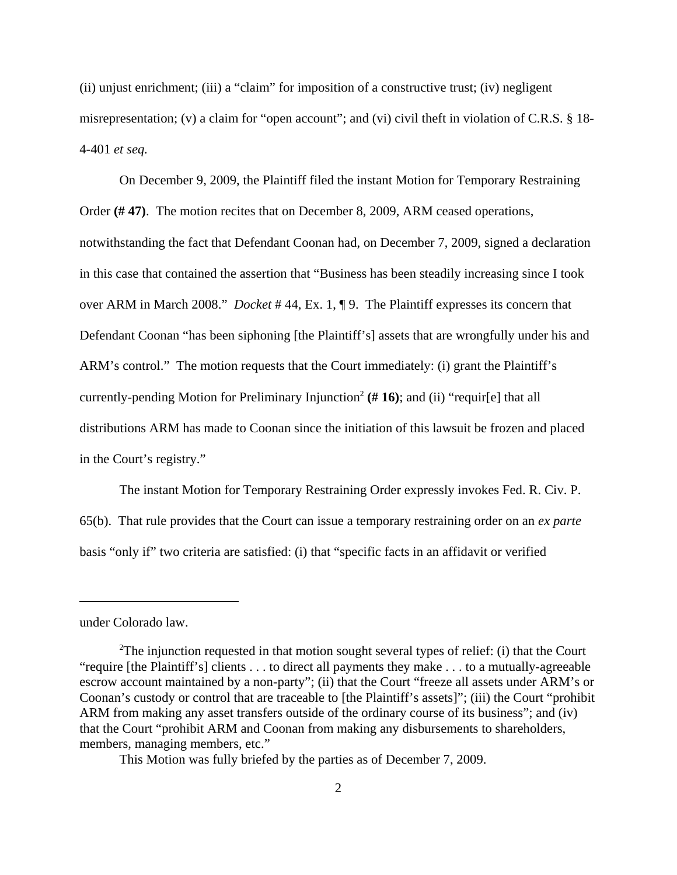(ii) unjust enrichment; (iii) a "claim" for imposition of a constructive trust; (iv) negligent misrepresentation; (v) a claim for "open account"; and (vi) civil theft in violation of C.R.S. § 18- 4-401 *et seq.*

On December 9, 2009, the Plaintiff filed the instant Motion for Temporary Restraining Order **(# 47)**. The motion recites that on December 8, 2009, ARM ceased operations, notwithstanding the fact that Defendant Coonan had, on December 7, 2009, signed a declaration in this case that contained the assertion that "Business has been steadily increasing since I took over ARM in March 2008." *Docket* # 44, Ex. 1, ¶ 9. The Plaintiff expresses its concern that Defendant Coonan "has been siphoning [the Plaintiff's] assets that are wrongfully under his and ARM's control." The motion requests that the Court immediately: (i) grant the Plaintiff's currently-pending Motion for Preliminary Injunction<sup>2</sup> ( $# 16$ ); and (ii) "requir[e] that all distributions ARM has made to Coonan since the initiation of this lawsuit be frozen and placed in the Court's registry."

The instant Motion for Temporary Restraining Order expressly invokes Fed. R. Civ. P. 65(b). That rule provides that the Court can issue a temporary restraining order on an *ex parte* basis "only if" two criteria are satisfied: (i) that "specific facts in an affidavit or verified

under Colorado law.

This Motion was fully briefed by the parties as of December 7, 2009.

<sup>&</sup>lt;sup>2</sup>The injunction requested in that motion sought several types of relief: (i) that the Court "require [the Plaintiff's] clients . . . to direct all payments they make . . . to a mutually-agreeable escrow account maintained by a non-party"; (ii) that the Court "freeze all assets under ARM's or Coonan's custody or control that are traceable to [the Plaintiff's assets]"; (iii) the Court "prohibit ARM from making any asset transfers outside of the ordinary course of its business"; and (iv) that the Court "prohibit ARM and Coonan from making any disbursements to shareholders, members, managing members, etc."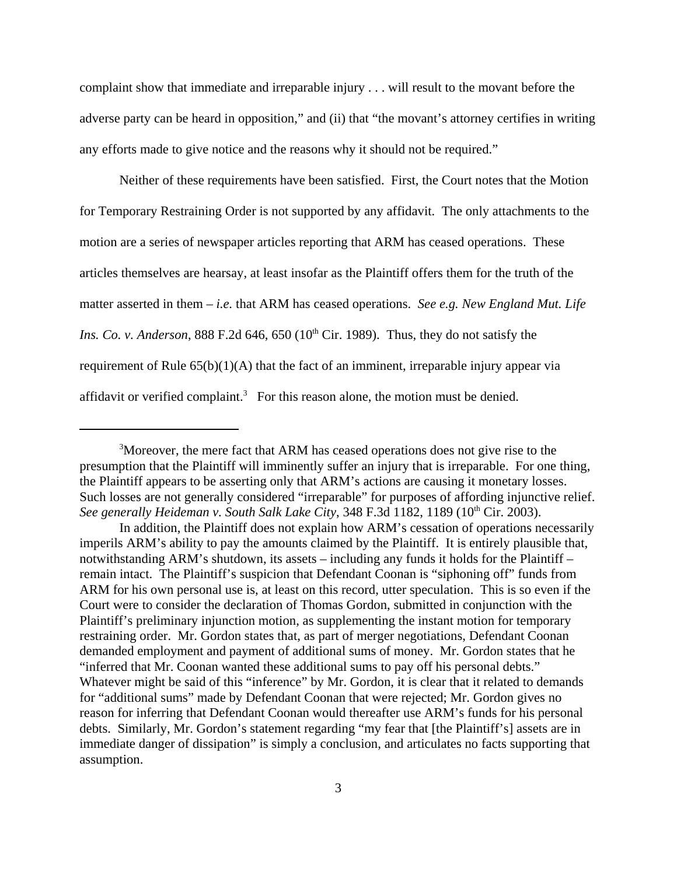complaint show that immediate and irreparable injury . . . will result to the movant before the adverse party can be heard in opposition," and (ii) that "the movant's attorney certifies in writing any efforts made to give notice and the reasons why it should not be required."

Neither of these requirements have been satisfied. First, the Court notes that the Motion for Temporary Restraining Order is not supported by any affidavit. The only attachments to the motion are a series of newspaper articles reporting that ARM has ceased operations. These articles themselves are hearsay, at least insofar as the Plaintiff offers them for the truth of the matter asserted in them – *i.e.* that ARM has ceased operations. *See e.g. New England Mut. Life Ins. Co. v. Anderson*, 888 F.2d 646, 650 ( $10<sup>th</sup>$  Cir. 1989). Thus, they do not satisfy the requirement of Rule 65(b)(1)(A) that the fact of an imminent, irreparable injury appear via affidavit or verified complaint.<sup>3</sup> For this reason alone, the motion must be denied.

<sup>&</sup>lt;sup>3</sup>Moreover, the mere fact that ARM has ceased operations does not give rise to the presumption that the Plaintiff will imminently suffer an injury that is irreparable. For one thing, the Plaintiff appears to be asserting only that ARM's actions are causing it monetary losses. Such losses are not generally considered "irreparable" for purposes of affording injunctive relief. See generally Heideman v. South Salk Lake City, 348 F.3d 1182, 1189 (10<sup>th</sup> Cir. 2003).

In addition, the Plaintiff does not explain how ARM's cessation of operations necessarily imperils ARM's ability to pay the amounts claimed by the Plaintiff. It is entirely plausible that, notwithstanding ARM's shutdown, its assets – including any funds it holds for the Plaintiff – remain intact. The Plaintiff's suspicion that Defendant Coonan is "siphoning off" funds from ARM for his own personal use is, at least on this record, utter speculation. This is so even if the Court were to consider the declaration of Thomas Gordon, submitted in conjunction with the Plaintiff's preliminary injunction motion, as supplementing the instant motion for temporary restraining order. Mr. Gordon states that, as part of merger negotiations, Defendant Coonan demanded employment and payment of additional sums of money. Mr. Gordon states that he "inferred that Mr. Coonan wanted these additional sums to pay off his personal debts." Whatever might be said of this "inference" by Mr. Gordon, it is clear that it related to demands for "additional sums" made by Defendant Coonan that were rejected; Mr. Gordon gives no reason for inferring that Defendant Coonan would thereafter use ARM's funds for his personal debts. Similarly, Mr. Gordon's statement regarding "my fear that [the Plaintiff's] assets are in immediate danger of dissipation" is simply a conclusion, and articulates no facts supporting that assumption.